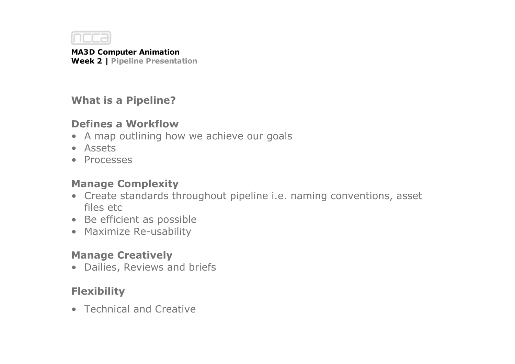

### **What is a Pipeline?**

### **Defines a Workflow**

- A map outlining how we achieve our goals
- Assets
- Processes

# **Manage Complexity**

- Create standards throughout pipeline i.e. naming conventions, asset files etc
- Be efficient as possible
- Maximize Re-usability

# **Manage Creatively**

• Dailies, Reviews and briefs

# **Flexibility**

• Technical and Creative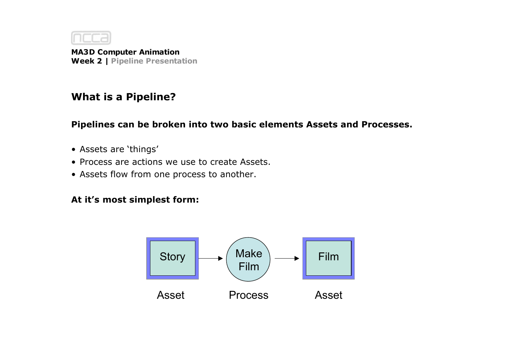

#### **What is a Pipeline?**

**Pipelines can be broken into two basic elements Assets and Processes.**

- Assets are 'things'
- Process are actions we use to create Assets.
- Assets flow from one process to another.

#### **At it's most simplest form:**

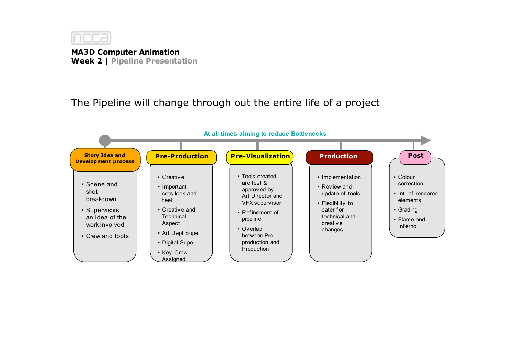

The Pipeline will change through out the entire life of a project

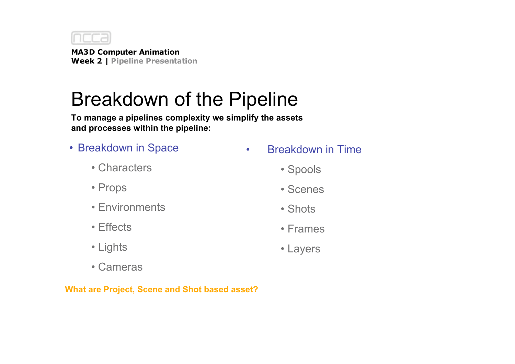

# Breakdown of the Pipeline

**To manage a pipelines complexity we simplify the assets and processes within the pipeline:**

- Breakdown in Space
	- Characters
	- Props
	- Environments
	- Effects
	- Lights
	- Cameras

**What are Project, Scene and Shot based asset?**

- Breakdown in Time
	- Spools
	- Scenes
	- Shots
	- Frames
	- Layers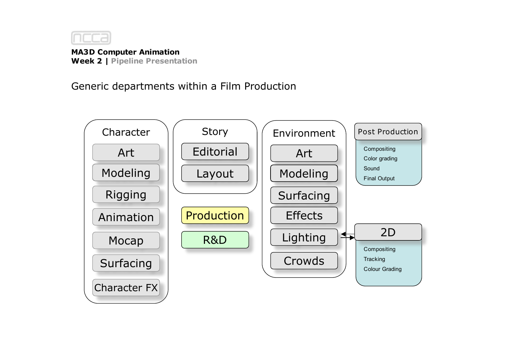

#### Generic departments within a Film Production